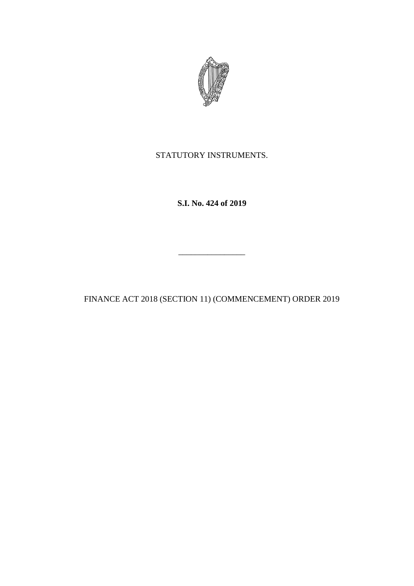

STATUTORY INSTRUMENTS.

**S.I. No. 424 of 2019**

\_\_\_\_\_\_\_\_\_\_\_\_\_\_\_\_

FINANCE ACT 2018 (SECTION 11) (COMMENCEMENT) ORDER 2019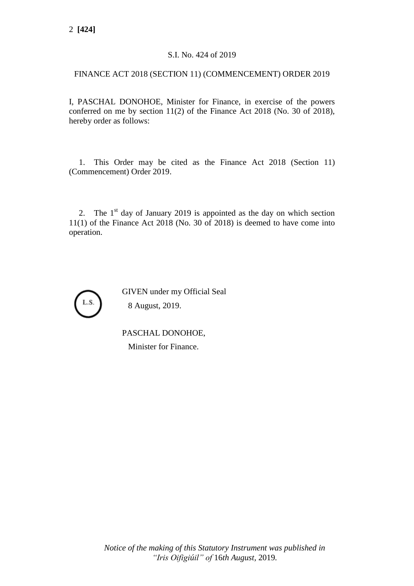## S.I. No. 424 of 2019

## FINANCE ACT 2018 (SECTION 11) (COMMENCEMENT) ORDER 2019

I, PASCHAL DONOHOE, Minister for Finance, in exercise of the powers conferred on me by section 11(2) of the Finance Act 2018 (No. 30 of 2018), hereby order as follows:

1. This Order may be cited as the Finance Act 2018 (Section 11) (Commencement) Order 2019.

2. The  $1<sup>st</sup>$  day of January 2019 is appointed as the day on which section 11(1) of the Finance Act 2018 (No. 30 of 2018) is deemed to have come into operation.



GIVEN under my Official Seal 8 August, 2019.

PASCHAL DONOHOE, Minister for Finance.